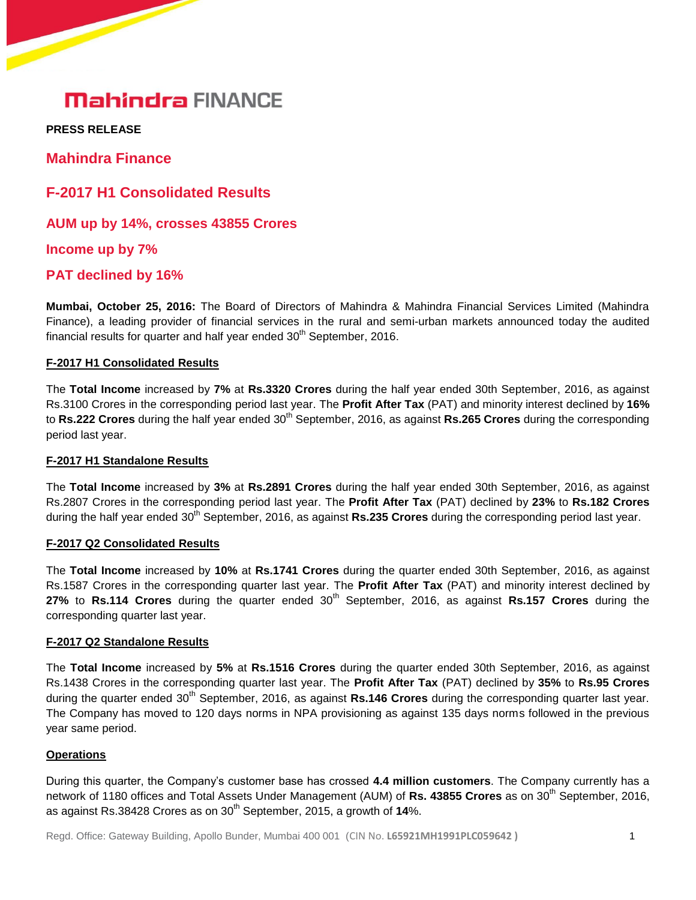## **Mahindra FINANCE**

**PRESS RELEASE** 

**Mahindra Finance**

**F-2017 H1 Consolidated Results**

**AUM up by 14%, crosses 43855 Crores**

**Income up by 7%**

## **PAT declined by 16%**

**Mumbai, October 25, 2016:** The Board of Directors of Mahindra & Mahindra Financial Services Limited (Mahindra Finance), a leading provider of financial services in the rural and semi-urban markets announced today the audited financial results for quarter and half year ended  $30^{\text{th}}$  September, 2016.

#### **F-2017 H1 Consolidated Results**

The **Total Income** increased by **7%** at **Rs.3320 Crores** during the half year ended 30th September, 2016, as against Rs.3100 Crores in the corresponding period last year. The **Profit After Tax** (PAT) and minority interest declined by **16%** to **Rs.222 Crores** during the half year ended 30<sup>th</sup> September, 2016, as against **Rs.265 Crores** during the corresponding period last year.

#### **F-2017 H1 Standalone Results**

The **Total Income** increased by **3%** at **Rs.2891 Crores** during the half year ended 30th September, 2016, as against Rs.2807 Crores in the corresponding period last year. The **Profit After Tax** (PAT) declined by **23%** to **Rs.182 Crores** during the half year ended 30<sup>th</sup> September, 2016, as against **Rs.235 Crores** during the corresponding period last year.

## **F-2017 Q2 Consolidated Results**

The **Total Income** increased by **10%** at **Rs.1741 Crores** during the quarter ended 30th September, 2016, as against Rs.1587 Crores in the corresponding quarter last year. The **Profit After Tax** (PAT) and minority interest declined by **27%** to **Rs.114 Crores** during the quarter ended 30<sup>th</sup> September, 2016, as against **Rs.157 Crores** during the corresponding quarter last year.

#### **F-2017 Q2 Standalone Results**

The **Total Income** increased by **5%** at **Rs.1516 Crores** during the quarter ended 30th September, 2016, as against Rs.1438 Crores in the corresponding quarter last year. The **Profit After Tax** (PAT) declined by **35%** to **Rs.95 Crores** during the quarter ended 30<sup>th</sup> September, 2016, as against Rs.146 Crores during the corresponding quarter last year. The Company has moved to 120 days norms in NPA provisioning as against 135 days norms followed in the previous year same period.

#### **Operations**

During this quarter, the Company's customer base has crossed **4.4 million customers**. The Company currently has a network of 1180 offices and Total Assets Under Management (AUM) of **Rs. 43855 Crores** as on 30<sup>th</sup> September, 2016, as against Rs.38428 Crores as on 30<sup>th</sup> September, 2015, a growth of 14%.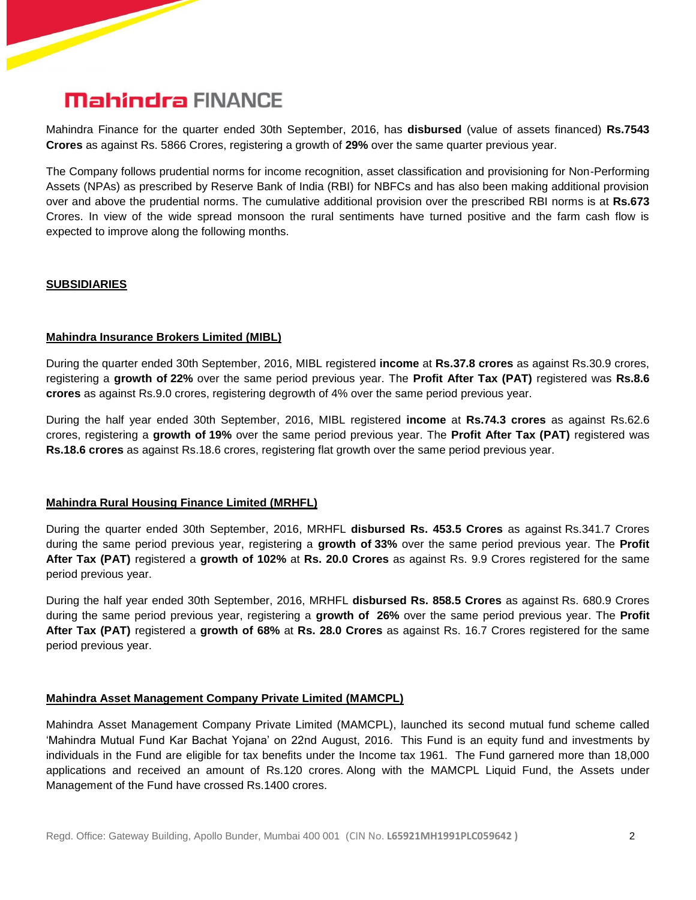## **Mahindra FINANCE**

Mahindra Finance for the quarter ended 30th September, 2016, has **disbursed** (value of assets financed) **Rs.7543 Crores** as against Rs. 5866 Crores, registering a growth of **29%** over the same quarter previous year.

The Company follows prudential norms for income recognition, asset classification and provisioning for Non-Performing Assets (NPAs) as prescribed by Reserve Bank of India (RBI) for NBFCs and has also been making additional provision over and above the prudential norms. The cumulative additional provision over the prescribed RBI norms is at **Rs.673** Crores. In view of the wide spread monsoon the rural sentiments have turned positive and the farm cash flow is expected to improve along the following months.

#### **SUBSIDIARIES**

#### **Mahindra Insurance Brokers Limited (MIBL)**

During the quarter ended 30th September, 2016, MIBL registered **income** at **Rs.37.8 crores** as against Rs.30.9 crores, registering a **growth of 22%** over the same period previous year. The **Profit After Tax (PAT)** registered was **Rs.8.6 crores** as against Rs.9.0 crores, registering degrowth of 4% over the same period previous year.

During the half year ended 30th September, 2016, MIBL registered **income** at **Rs.74.3 crores** as against Rs.62.6 crores, registering a **growth of 19%** over the same period previous year. The **Profit After Tax (PAT)** registered was **Rs.18.6 crores** as against Rs.18.6 crores, registering flat growth over the same period previous year.

### **Mahindra Rural Housing Finance Limited (MRHFL)**

During the quarter ended 30th September, 2016, MRHFL **disbursed Rs. 453.5 Crores** as against Rs.341.7 Crores during the same period previous year, registering a **growth of 33%** over the same period previous year. The **Profit After Tax (PAT)** registered a **growth of 102%** at **Rs. 20.0 Crores** as against Rs. 9.9 Crores registered for the same period previous year.

During the half year ended 30th September, 2016, MRHFL **disbursed Rs. 858.5 Crores** as against Rs. 680.9 Crores during the same period previous year, registering a **growth of 26%** over the same period previous year. The **Profit After Tax (PAT)** registered a **growth of 68%** at **Rs. 28.0 Crores** as against Rs. 16.7 Crores registered for the same period previous year.

#### **Mahindra Asset Management Company Private Limited (MAMCPL)**

Mahindra Asset Management Company Private Limited (MAMCPL), launched its second mutual fund scheme called 'Mahindra Mutual Fund Kar Bachat Yojana' on 22nd August, 2016. This Fund is an equity fund and investments by individuals in the Fund are eligible for tax benefits under the Income tax 1961. The Fund garnered more than 18,000 applications and received an amount of Rs.120 crores. Along with the MAMCPL Liquid Fund, the Assets under Management of the Fund have crossed Rs.1400 crores.